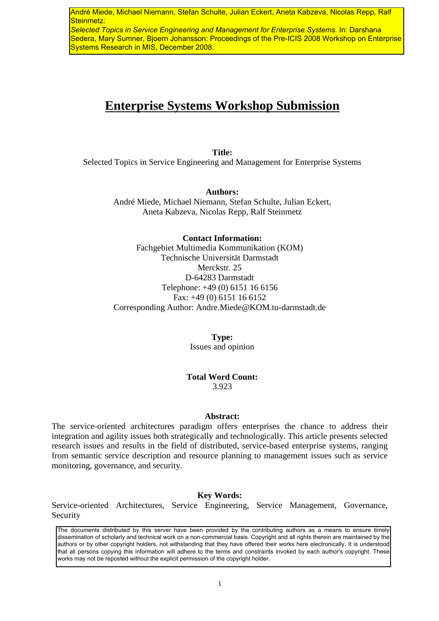André Miede, Michael Niemann, Stefan Schulte, Julian Eckert, Aneta Kabzeva, Nicolas Repp, Ralf Steinmetz:

*Selected Topics in Service Engineering and Management for Enterprise Systems.* In: Darshana Sedera, Mary Sumner, Bjoern Johansson: Proceedings of the Pre-ICIS 2008 Workshop on Enterprise Systems Research in MIS, December 2008.

# **Enterprise Systems Workshop Submission**

**Title:**  Selected Topics in Service Engineering and Management for Enterprise Systems

> **Authors:**  André Miede, Michael Niemann, Stefan Schulte, Julian Eckert, Aneta Kabzeva, Nicolas Repp, Ralf Steinmetz

**Contact Information:**  Fachgebiet Multimedia Kommunikation (KOM) Technische Universität Darmstadt Merckstr. 25 D-64283 Darmstadt Telephone: +49 (0) 6151 16 6156 Fax: +49 (0) 6151 16 6152 Corresponding Author: Andre.Miede@KOM.tu-darmstadt.de

> **Type:**  Issues and opinion

**Total Word Count:**  3.923

#### **Abstract:**

The service-oriented architectures paradigm offers enterprises the chance to address their integration and agility issues both strategically and technologically. This article presents selected research issues and results in the field of distributed, service-based enterprise systems, ranging from semantic service description and resource planning to management issues such as service monitoring, governance, and security.

#### **Key Words:**

Service-oriented Architectures, Service Engineering, Service Management, Governance, Security

The documents distributed by this server have been provided by the contributing authors as a means to ensure timely dissemination of scholarly and technical work on a non-commercial basis. Copyright and all rights therein are maintained by the authors or by other copyright holders, not withstanding that they have offered their works here electronically. It is understood that all persons copying this information will adhere to the terms and constraints invoked by each author's copyright. These works may not be reposted without the explicit permission of the copyright holder.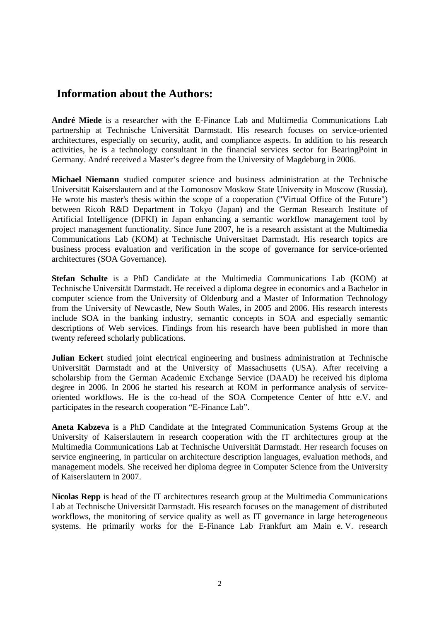## **Information about the Authors:**

**André Miede** is a researcher with the E-Finance Lab and Multimedia Communications Lab partnership at Technische Universität Darmstadt. His research focuses on service-oriented architectures, especially on security, audit, and compliance aspects. In addition to his research activities, he is a technology consultant in the financial services sector for BearingPoint in Germany. André received a Master's degree from the University of Magdeburg in 2006.

**Michael Niemann** studied computer science and business administration at the Technische Universität Kaiserslautern and at the Lomonosov Moskow State University in Moscow (Russia). He wrote his master's thesis within the scope of a cooperation ("Virtual Office of the Future") between Ricoh R&D Department in Tokyo (Japan) and the German Research Institute of Artificial Intelligence (DFKI) in Japan enhancing a semantic workflow management tool by project management functionality. Since June 2007, he is a research assistant at the Multimedia Communications Lab (KOM) at Technische Universitaet Darmstadt. His research topics are business process evaluation and verification in the scope of governance for service-oriented architectures (SOA Governance).

**Stefan Schulte** is a PhD Candidate at the Multimedia Communications Lab (KOM) at Technische Universität Darmstadt. He received a diploma degree in economics and a Bachelor in computer science from the University of Oldenburg and a Master of Information Technology from the University of Newcastle, New South Wales, in 2005 and 2006. His research interests include SOA in the banking industry, semantic concepts in SOA and especially semantic descriptions of Web services. Findings from his research have been published in more than twenty refereed scholarly publications.

**Julian Eckert** studied joint electrical engineering and business administration at Technische Universität Darmstadt and at the University of Massachusetts (USA). After receiving a scholarship from the German Academic Exchange Service (DAAD) he received his diploma degree in 2006. In 2006 he started his research at KOM in performance analysis of serviceoriented workflows. He is the co-head of the SOA Competence Center of httc e.V. and participates in the research cooperation "E-Finance Lab".

**Aneta Kabzeva** is a PhD Candidate at the Integrated Communication Systems Group at the University of Kaiserslautern in research cooperation with the IT architectures group at the Multimedia Communications Lab at Technische Universität Darmstadt. Her research focuses on service engineering, in particular on architecture description languages, evaluation methods, and management models. She received her diploma degree in Computer Science from the University of Kaiserslautern in 2007.

**Nicolas Repp** is head of the IT architectures research group at the Multimedia Communications Lab at Technische Universität Darmstadt. His research focuses on the management of distributed workflows, the monitoring of service quality as well as IT governance in large heterogeneous systems. He primarily works for the E-Finance Lab Frankfurt am Main e. V. research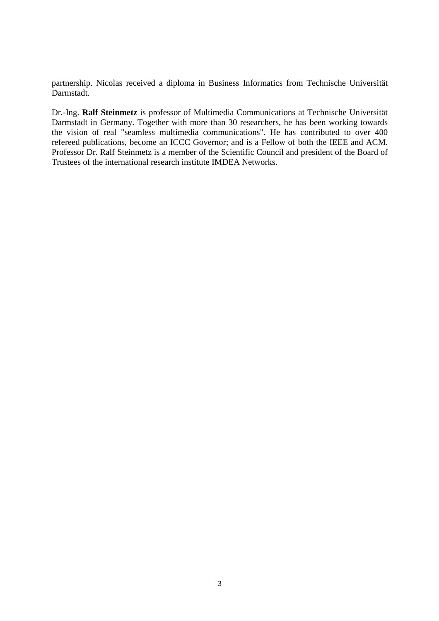partnership. Nicolas received a diploma in Business Informatics from Technische Universität Darmstadt.

Dr.-Ing. **Ralf Steinmetz** is professor of Multimedia Communications at Technische Universität Darmstadt in Germany. Together with more than 30 researchers, he has been working towards the vision of real "seamless multimedia communications". He has contributed to over 400 refereed publications, become an ICCC Governor; and is a Fellow of both the IEEE and ACM. Professor Dr. Ralf Steinmetz is a member of the Scientific Council and president of the Board of Trustees of the international research institute IMDEA Networks.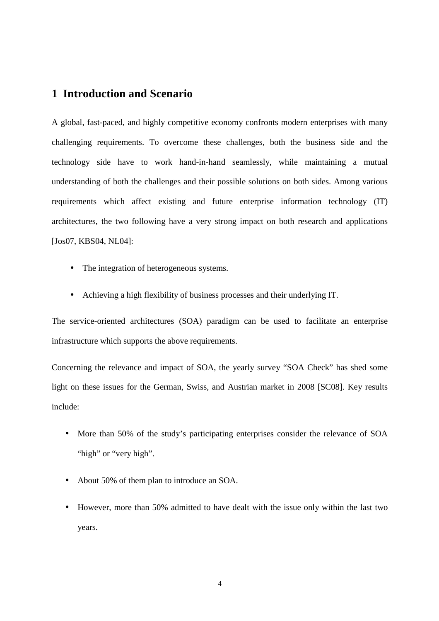### **1 Introduction and Scenario**

A global, fast-paced, and highly competitive economy confronts modern enterprises with many challenging requirements. To overcome these challenges, both the business side and the technology side have to work hand-in-hand seamlessly, while maintaining a mutual understanding of both the challenges and their possible solutions on both sides. Among various requirements which affect existing and future enterprise information technology (IT) architectures, the two following have a very strong impact on both research and applications [Jos07, KBS04, NL04]:

- The integration of heterogeneous systems.
- Achieving a high flexibility of business processes and their underlying IT.

The service-oriented architectures (SOA) paradigm can be used to facilitate an enterprise infrastructure which supports the above requirements.

Concerning the relevance and impact of SOA, the yearly survey "SOA Check" has shed some light on these issues for the German, Swiss, and Austrian market in 2008 [SC08]. Key results include:

- More than 50% of the study's participating enterprises consider the relevance of SOA "high" or "very high".
- About 50% of them plan to introduce an SOA.
- However, more than 50% admitted to have dealt with the issue only within the last two years.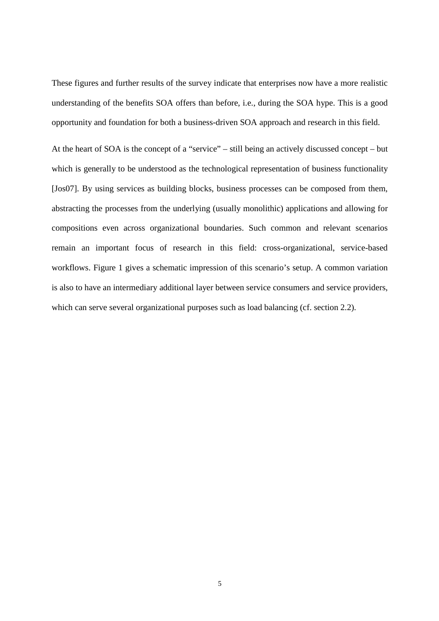These figures and further results of the survey indicate that enterprises now have a more realistic understanding of the benefits SOA offers than before, i.e., during the SOA hype. This is a good opportunity and foundation for both a business-driven SOA approach and research in this field.

At the heart of SOA is the concept of a "service" – still being an actively discussed concept – but which is generally to be understood as the technological representation of business functionality [Jos07]. By using services as building blocks, business processes can be composed from them, abstracting the processes from the underlying (usually monolithic) applications and allowing for compositions even across organizational boundaries. Such common and relevant scenarios remain an important focus of research in this field: cross-organizational, service-based workflows. Figure 1 gives a schematic impression of this scenario's setup. A common variation is also to have an intermediary additional layer between service consumers and service providers, which can serve several organizational purposes such as load balancing (cf. section 2.2).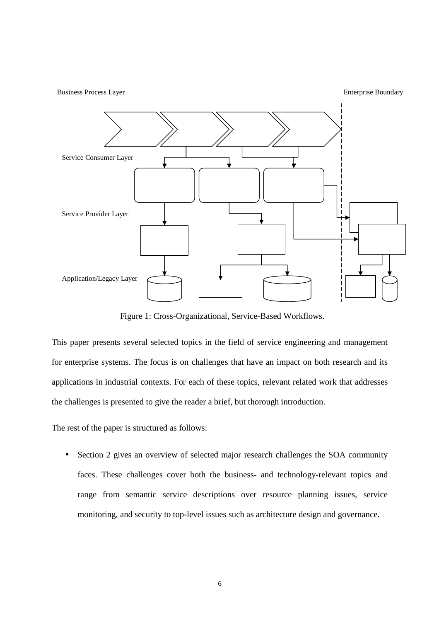Application/Legacy Layer Service Consumer Layer Service Provider Layer Business Process Layer Enterprise Boundary

Figure 1: Cross-Organizational, Service-Based Workflows.

This paper presents several selected topics in the field of service engineering and management for enterprise systems. The focus is on challenges that have an impact on both research and its applications in industrial contexts. For each of these topics, relevant related work that addresses the challenges is presented to give the reader a brief, but thorough introduction.

The rest of the paper is structured as follows:

Section 2 gives an overview of selected major research challenges the SOA community faces. These challenges cover both the business- and technology-relevant topics and range from semantic service descriptions over resource planning issues, service monitoring, and security to top-level issues such as architecture design and governance.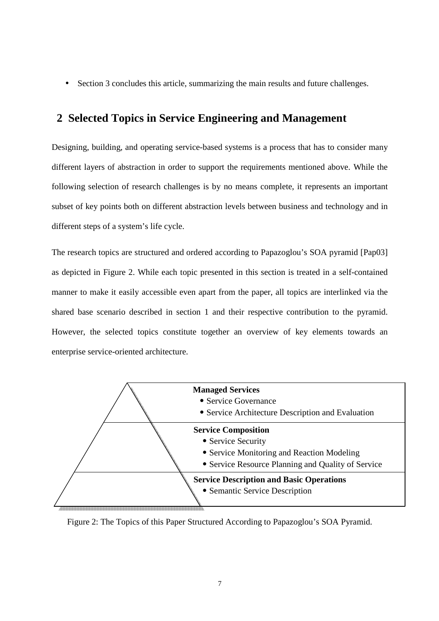• Section 3 concludes this article, summarizing the main results and future challenges.

## **2 Selected Topics in Service Engineering and Management**

Designing, building, and operating service-based systems is a process that has to consider many different layers of abstraction in order to support the requirements mentioned above. While the following selection of research challenges is by no means complete, it represents an important subset of key points both on different abstraction levels between business and technology and in different steps of a system's life cycle.

The research topics are structured and ordered according to Papazoglou's SOA pyramid [Pap03] as depicted in Figure 2. While each topic presented in this section is treated in a self-contained manner to make it easily accessible even apart from the paper, all topics are interlinked via the shared base scenario described in section 1 and their respective contribution to the pyramid. However, the selected topics constitute together an overview of key elements towards an enterprise service-oriented architecture.



Figure 2: The Topics of this Paper Structured According to Papazoglou's SOA Pyramid.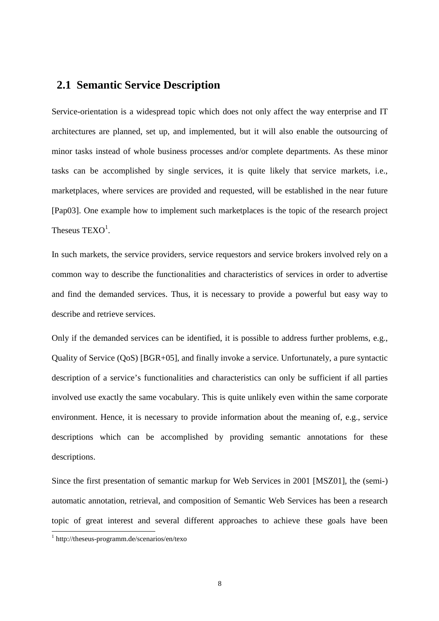## **2.1 Semantic Service Description**

Service-orientation is a widespread topic which does not only affect the way enterprise and IT architectures are planned, set up, and implemented, but it will also enable the outsourcing of minor tasks instead of whole business processes and/or complete departments. As these minor tasks can be accomplished by single services, it is quite likely that service markets, i.e., marketplaces, where services are provided and requested, will be established in the near future [Pap03]. One example how to implement such marketplaces is the topic of the research project Theseus  $TEXO<sup>1</sup>$ .

In such markets, the service providers, service requestors and service brokers involved rely on a common way to describe the functionalities and characteristics of services in order to advertise and find the demanded services. Thus, it is necessary to provide a powerful but easy way to describe and retrieve services.

Only if the demanded services can be identified, it is possible to address further problems, e.g., Quality of Service (QoS) [BGR+05], and finally invoke a service. Unfortunately, a pure syntactic description of a service's functionalities and characteristics can only be sufficient if all parties involved use exactly the same vocabulary. This is quite unlikely even within the same corporate environment. Hence, it is necessary to provide information about the meaning of, e.g., service descriptions which can be accomplished by providing semantic annotations for these descriptions.

Since the first presentation of semantic markup for Web Services in 2001 [MSZ01], the (semi-) automatic annotation, retrieval, and composition of Semantic Web Services has been a research topic of great interest and several different approaches to achieve these goals have been 1

<sup>1</sup> http://theseus-programm.de/scenarios/en/texo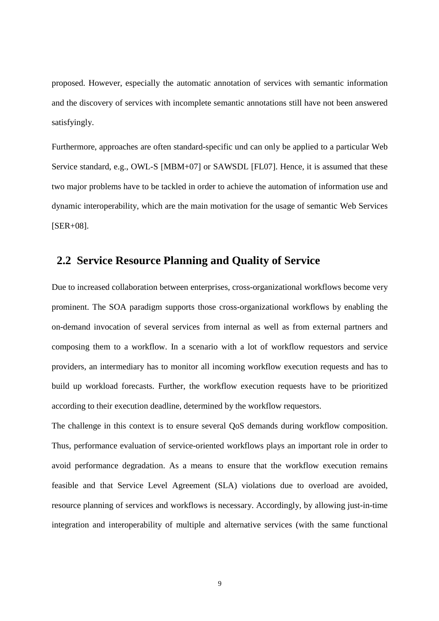proposed. However, especially the automatic annotation of services with semantic information and the discovery of services with incomplete semantic annotations still have not been answered satisfyingly.

Furthermore, approaches are often standard-specific und can only be applied to a particular Web Service standard, e.g., OWL-S [MBM+07] or SAWSDL [FL07]. Hence, it is assumed that these two major problems have to be tackled in order to achieve the automation of information use and dynamic interoperability, which are the main motivation for the usage of semantic Web Services [SER+08].

#### **2.2 Service Resource Planning and Quality of Service**

Due to increased collaboration between enterprises, cross-organizational workflows become very prominent. The SOA paradigm supports those cross-organizational workflows by enabling the on-demand invocation of several services from internal as well as from external partners and composing them to a workflow. In a scenario with a lot of workflow requestors and service providers, an intermediary has to monitor all incoming workflow execution requests and has to build up workload forecasts. Further, the workflow execution requests have to be prioritized according to their execution deadline, determined by the workflow requestors.

The challenge in this context is to ensure several QoS demands during workflow composition. Thus, performance evaluation of service-oriented workflows plays an important role in order to avoid performance degradation. As a means to ensure that the workflow execution remains feasible and that Service Level Agreement (SLA) violations due to overload are avoided, resource planning of services and workflows is necessary. Accordingly, by allowing just-in-time integration and interoperability of multiple and alternative services (with the same functional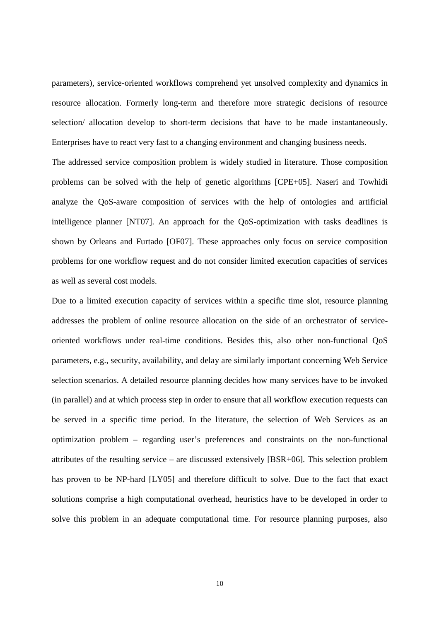parameters), service-oriented workflows comprehend yet unsolved complexity and dynamics in resource allocation. Formerly long-term and therefore more strategic decisions of resource selection/ allocation develop to short-term decisions that have to be made instantaneously. Enterprises have to react very fast to a changing environment and changing business needs.

The addressed service composition problem is widely studied in literature. Those composition problems can be solved with the help of genetic algorithms [CPE+05]. Naseri and Towhidi analyze the QoS-aware composition of services with the help of ontologies and artificial intelligence planner [NT07]. An approach for the QoS-optimization with tasks deadlines is shown by Orleans and Furtado [OF07]. These approaches only focus on service composition problems for one workflow request and do not consider limited execution capacities of services as well as several cost models.

Due to a limited execution capacity of services within a specific time slot, resource planning addresses the problem of online resource allocation on the side of an orchestrator of serviceoriented workflows under real-time conditions. Besides this, also other non-functional QoS parameters, e.g., security, availability, and delay are similarly important concerning Web Service selection scenarios. A detailed resource planning decides how many services have to be invoked (in parallel) and at which process step in order to ensure that all workflow execution requests can be served in a specific time period. In the literature, the selection of Web Services as an optimization problem – regarding user's preferences and constraints on the non-functional attributes of the resulting service – are discussed extensively [BSR+06]. This selection problem has proven to be NP-hard [LY05] and therefore difficult to solve. Due to the fact that exact solutions comprise a high computational overhead, heuristics have to be developed in order to solve this problem in an adequate computational time. For resource planning purposes, also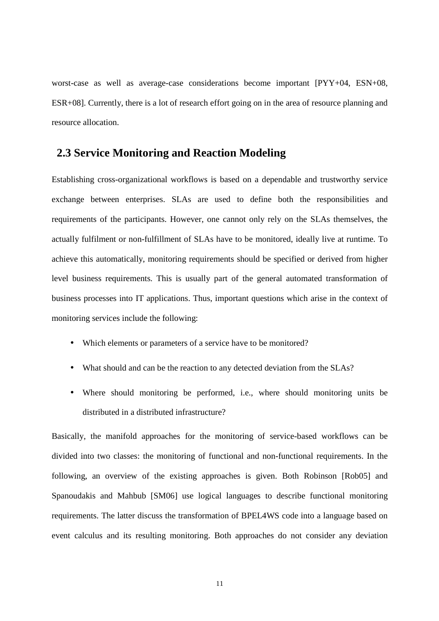worst-case as well as average-case considerations become important [PYY+04, ESN+08, ESR+08]. Currently, there is a lot of research effort going on in the area of resource planning and resource allocation.

#### **2.3 Service Monitoring and Reaction Modeling**

Establishing cross-organizational workflows is based on a dependable and trustworthy service exchange between enterprises. SLAs are used to define both the responsibilities and requirements of the participants. However, one cannot only rely on the SLAs themselves, the actually fulfilment or non-fulfillment of SLAs have to be monitored, ideally live at runtime. To achieve this automatically, monitoring requirements should be specified or derived from higher level business requirements. This is usually part of the general automated transformation of business processes into IT applications. Thus, important questions which arise in the context of monitoring services include the following:

- Which elements or parameters of a service have to be monitored?
- What should and can be the reaction to any detected deviation from the SLAs?
- Where should monitoring be performed, i.e., where should monitoring units be distributed in a distributed infrastructure?

Basically, the manifold approaches for the monitoring of service-based workflows can be divided into two classes: the monitoring of functional and non-functional requirements. In the following, an overview of the existing approaches is given. Both Robinson [Rob05] and Spanoudakis and Mahbub [SM06] use logical languages to describe functional monitoring requirements. The latter discuss the transformation of BPEL4WS code into a language based on event calculus and its resulting monitoring. Both approaches do not consider any deviation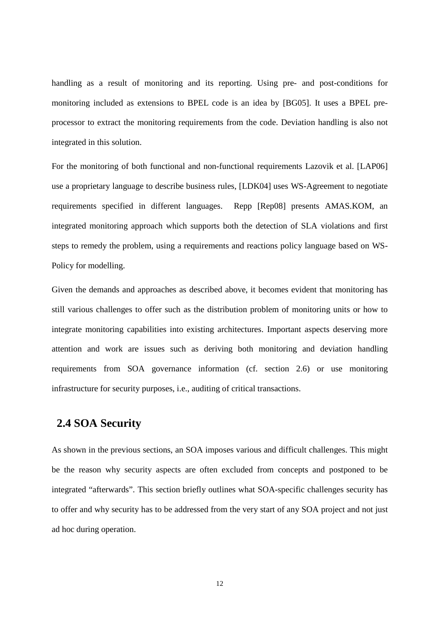handling as a result of monitoring and its reporting. Using pre- and post-conditions for monitoring included as extensions to BPEL code is an idea by [BG05]. It uses a BPEL preprocessor to extract the monitoring requirements from the code. Deviation handling is also not integrated in this solution.

For the monitoring of both functional and non-functional requirements Lazovik et al. [LAP06] use a proprietary language to describe business rules, [LDK04] uses WS-Agreement to negotiate requirements specified in different languages. Repp [Rep08] presents AMAS.KOM, an integrated monitoring approach which supports both the detection of SLA violations and first steps to remedy the problem, using a requirements and reactions policy language based on WS-Policy for modelling.

Given the demands and approaches as described above, it becomes evident that monitoring has still various challenges to offer such as the distribution problem of monitoring units or how to integrate monitoring capabilities into existing architectures. Important aspects deserving more attention and work are issues such as deriving both monitoring and deviation handling requirements from SOA governance information (cf. section 2.6) or use monitoring infrastructure for security purposes, i.e., auditing of critical transactions.

# **2.4 SOA Security**

As shown in the previous sections, an SOA imposes various and difficult challenges. This might be the reason why security aspects are often excluded from concepts and postponed to be integrated "afterwards". This section briefly outlines what SOA-specific challenges security has to offer and why security has to be addressed from the very start of any SOA project and not just ad hoc during operation.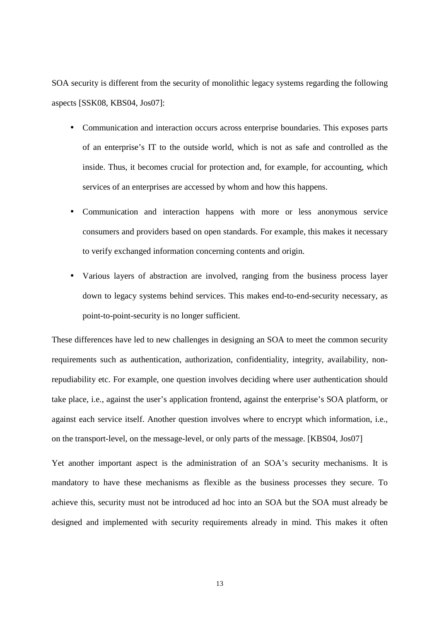SOA security is different from the security of monolithic legacy systems regarding the following aspects [SSK08, KBS04, Jos07]:

- Communication and interaction occurs across enterprise boundaries. This exposes parts of an enterprise's IT to the outside world, which is not as safe and controlled as the inside. Thus, it becomes crucial for protection and, for example, for accounting, which services of an enterprises are accessed by whom and how this happens.
- Communication and interaction happens with more or less anonymous service consumers and providers based on open standards. For example, this makes it necessary to verify exchanged information concerning contents and origin.
- Various layers of abstraction are involved, ranging from the business process layer down to legacy systems behind services. This makes end-to-end-security necessary, as point-to-point-security is no longer sufficient.

These differences have led to new challenges in designing an SOA to meet the common security requirements such as authentication, authorization, confidentiality, integrity, availability, nonrepudiability etc. For example, one question involves deciding where user authentication should take place, i.e., against the user's application frontend, against the enterprise's SOA platform, or against each service itself. Another question involves where to encrypt which information, i.e., on the transport-level, on the message-level, or only parts of the message. [KBS04, Jos07]

Yet another important aspect is the administration of an SOA's security mechanisms. It is mandatory to have these mechanisms as flexible as the business processes they secure. To achieve this, security must not be introduced ad hoc into an SOA but the SOA must already be designed and implemented with security requirements already in mind. This makes it often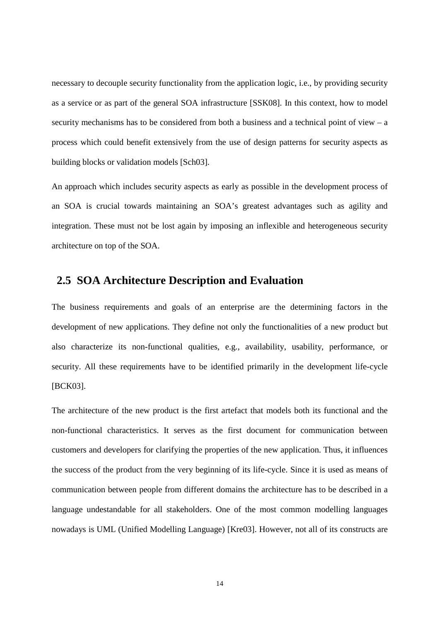necessary to decouple security functionality from the application logic, i.e., by providing security as a service or as part of the general SOA infrastructure [SSK08]. In this context, how to model security mechanisms has to be considered from both a business and a technical point of view – a process which could benefit extensively from the use of design patterns for security aspects as building blocks or validation models [Sch03].

An approach which includes security aspects as early as possible in the development process of an SOA is crucial towards maintaining an SOA's greatest advantages such as agility and integration. These must not be lost again by imposing an inflexible and heterogeneous security architecture on top of the SOA.

## **2.5 SOA Architecture Description and Evaluation**

The business requirements and goals of an enterprise are the determining factors in the development of new applications. They define not only the functionalities of a new product but also characterize its non-functional qualities, e.g., availability, usability, performance, or security. All these requirements have to be identified primarily in the development life-cycle [BCK03].

The architecture of the new product is the first artefact that models both its functional and the non-functional characteristics. It serves as the first document for communication between customers and developers for clarifying the properties of the new application. Thus, it influences the success of the product from the very beginning of its life-cycle. Since it is used as means of communication between people from different domains the architecture has to be described in a language undestandable for all stakeholders. One of the most common modelling languages nowadays is UML (Unified Modelling Language) [Kre03]. However, not all of its constructs are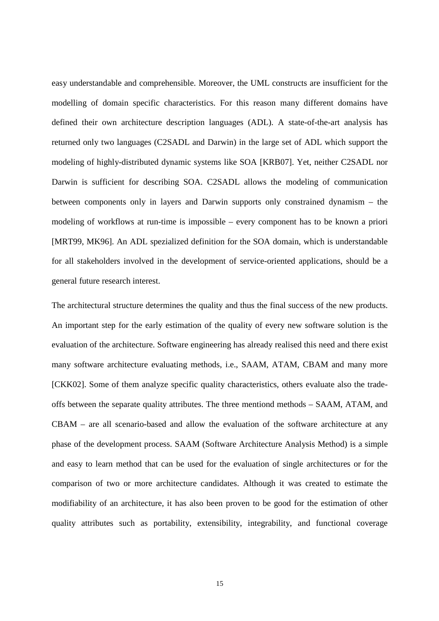easy understandable and comprehensible. Moreover, the UML constructs are insufficient for the modelling of domain specific characteristics. For this reason many different domains have defined their own architecture description languages (ADL). A state-of-the-art analysis has returned only two languages (C2SADL and Darwin) in the large set of ADL which support the modeling of highly-distributed dynamic systems like SOA [KRB07]. Yet, neither C2SADL nor Darwin is sufficient for describing SOA. C2SADL allows the modeling of communication between components only in layers and Darwin supports only constrained dynamism – the modeling of workflows at run-time is impossible – every component has to be known a priori [MRT99, MK96]. An ADL spezialized definition for the SOA domain, which is understandable for all stakeholders involved in the development of service-oriented applications, should be a general future research interest.

The architectural structure determines the quality and thus the final success of the new products. An important step for the early estimation of the quality of every new software solution is the evaluation of the architecture. Software engineering has already realised this need and there exist many software architecture evaluating methods, i.e., SAAM, ATAM, CBAM and many more [CKK02]. Some of them analyze specific quality characteristics, others evaluate also the tradeoffs between the separate quality attributes. The three mentiond methods – SAAM, ATAM, and CBAM – are all scenario-based and allow the evaluation of the software architecture at any phase of the development process. SAAM (Software Architecture Analysis Method) is a simple and easy to learn method that can be used for the evaluation of single architectures or for the comparison of two or more architecture candidates. Although it was created to estimate the modifiability of an architecture, it has also been proven to be good for the estimation of other quality attributes such as portability, extensibility, integrability, and functional coverage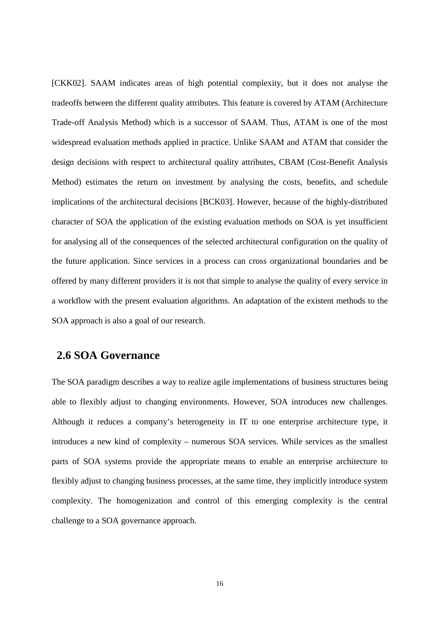[CKK02]. SAAM indicates areas of high potential complexity, but it does not analyse the tradeoffs between the different quality attributes. This feature is covered by ATAM (Architecture Trade-off Analysis Method) which is a successor of SAAM. Thus, ATAM is one of the most widespread evaluation methods applied in practice. Unlike SAAM and ATAM that consider the design decisions with respect to architectural quality attributes, CBAM (Cost-Benefit Analysis Method) estimates the return on investment by analysing the costs, benefits, and schedule implications of the architectural decisions [BCK03]. However, because of the highly-distributed character of SOA the application of the existing evaluation methods on SOA is yet insufficient for analysing all of the consequences of the selected architectural configuration on the quality of the future application. Since services in a process can cross organizational boundaries and be offered by many different providers it is not that simple to analyse the quality of every service in a workflow with the present evaluation algorithms. An adaptation of the existent methods to the SOA approach is also a goal of our research.

### **2.6 SOA Governance**

The SOA paradigm describes a way to realize agile implementations of business structures being able to flexibly adjust to changing environments. However, SOA introduces new challenges. Although it reduces a company's heterogeneity in IT to one enterprise architecture type, it introduces a new kind of complexity – numerous SOA services. While services as the smallest parts of SOA systems provide the appropriate means to enable an enterprise architecture to flexibly adjust to changing business processes, at the same time, they implicitly introduce system complexity. The homogenization and control of this emerging complexity is the central challenge to a SOA governance approach.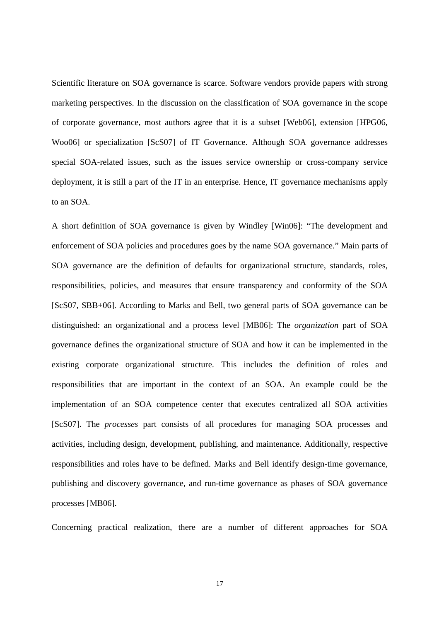Scientific literature on SOA governance is scarce. Software vendors provide papers with strong marketing perspectives. In the discussion on the classification of SOA governance in the scope of corporate governance, most authors agree that it is a subset [Web06], extension [HPG06, Woo06] or specialization [ScS07] of IT Governance. Although SOA governance addresses special SOA-related issues, such as the issues service ownership or cross-company service deployment, it is still a part of the IT in an enterprise. Hence, IT governance mechanisms apply to an SOA.

A short definition of SOA governance is given by Windley [Win06]: "The development and enforcement of SOA policies and procedures goes by the name SOA governance." Main parts of SOA governance are the definition of defaults for organizational structure, standards, roles, responsibilities, policies, and measures that ensure transparency and conformity of the SOA [ScS07, SBB+06]. According to Marks and Bell, two general parts of SOA governance can be distinguished: an organizational and a process level [MB06]: The *organization* part of SOA governance defines the organizational structure of SOA and how it can be implemented in the existing corporate organizational structure. This includes the definition of roles and responsibilities that are important in the context of an SOA. An example could be the implementation of an SOA competence center that executes centralized all SOA activities [ScS07]. The *processes* part consists of all procedures for managing SOA processes and activities, including design, development, publishing, and maintenance. Additionally, respective responsibilities and roles have to be defined. Marks and Bell identify design-time governance, publishing and discovery governance, and run-time governance as phases of SOA governance processes [MB06].

Concerning practical realization, there are a number of different approaches for SOA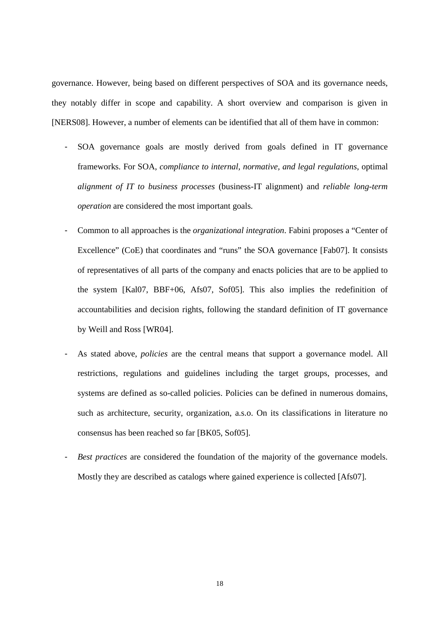governance. However, being based on different perspectives of SOA and its governance needs, they notably differ in scope and capability. A short overview and comparison is given in [NERS08]. However, a number of elements can be identified that all of them have in common:

- SOA governance goals are mostly derived from goals defined in IT governance frameworks. For SOA, *compliance to internal, normative, and legal regulations*, optimal *alignment of IT to business processes* (business-IT alignment) and *reliable long-term operation* are considered the most important goals.
- Common to all approaches is the *organizational integration*. Fabini proposes a "Center of Excellence" (CoE) that coordinates and "runs" the SOA governance [Fab07]. It consists of representatives of all parts of the company and enacts policies that are to be applied to the system [Kal07, BBF+06, Afs07, Sof05]. This also implies the redefinition of accountabilities and decision rights, following the standard definition of IT governance by Weill and Ross [WR04].
- As stated above, *policies* are the central means that support a governance model. All restrictions, regulations and guidelines including the target groups, processes, and systems are defined as so-called policies. Policies can be defined in numerous domains, such as architecture, security, organization, a.s.o. On its classifications in literature no consensus has been reached so far [BK05, Sof05].
- *Best practices* are considered the foundation of the majority of the governance models. Mostly they are described as catalogs where gained experience is collected [Afs07].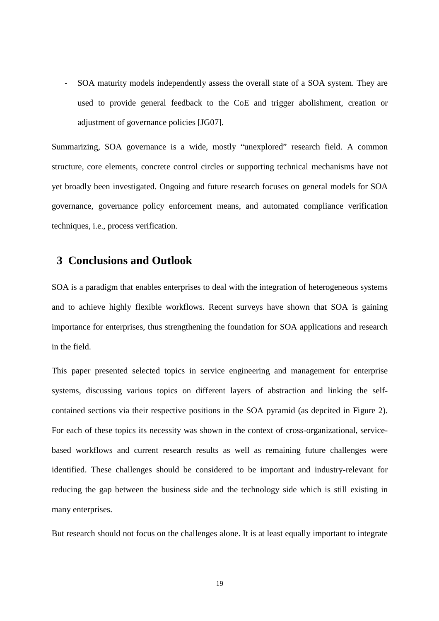- SOA maturity models independently assess the overall state of a SOA system. They are used to provide general feedback to the CoE and trigger abolishment, creation or adjustment of governance policies [JG07].

Summarizing, SOA governance is a wide, mostly "unexplored" research field. A common structure, core elements, concrete control circles or supporting technical mechanisms have not yet broadly been investigated. Ongoing and future research focuses on general models for SOA governance, governance policy enforcement means, and automated compliance verification techniques, i.e., process verification.

### **3 Conclusions and Outlook**

SOA is a paradigm that enables enterprises to deal with the integration of heterogeneous systems and to achieve highly flexible workflows. Recent surveys have shown that SOA is gaining importance for enterprises, thus strengthening the foundation for SOA applications and research in the field.

This paper presented selected topics in service engineering and management for enterprise systems, discussing various topics on different layers of abstraction and linking the selfcontained sections via their respective positions in the SOA pyramid (as depcited in Figure 2). For each of these topics its necessity was shown in the context of cross-organizational, servicebased workflows and current research results as well as remaining future challenges were identified. These challenges should be considered to be important and industry-relevant for reducing the gap between the business side and the technology side which is still existing in many enterprises.

But research should not focus on the challenges alone. It is at least equally important to integrate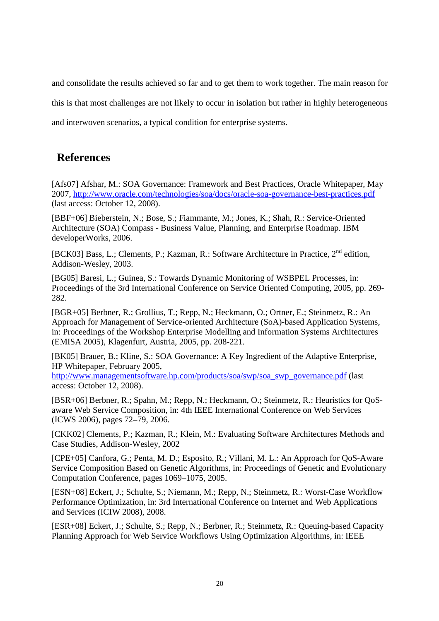and consolidate the results achieved so far and to get them to work together. The main reason for this is that most challenges are not likely to occur in isolation but rather in highly heterogeneous and interwoven scenarios, a typical condition for enterprise systems.

## **References**

[Afs07] Afshar, M.: SOA Governance: Framework and Best Practices, Oracle Whitepaper, May 2007, http://www.oracle.com/technologies/soa/docs/oracle-soa-governance-best-practices.pdf (last access: October 12, 2008).

[BBF+06] Bieberstein, N.; Bose, S.; Fiammante, M.; Jones, K.; Shah, R.: Service-Oriented Architecture (SOA) Compass - Business Value, Planning, and Enterprise Roadmap. IBM developerWorks, 2006.

[BCK03] Bass, L.; Clements, P.; Kazman, R.: Software Architecture in Practice, 2<sup>nd</sup> edition, Addison-Wesley, 2003.

[BG05] Baresi, L.; Guinea, S.: Towards Dynamic Monitoring of WSBPEL Processes, in: Proceedings of the 3rd International Conference on Service Oriented Computing, 2005, pp. 269- 282.

[BGR+05] Berbner, R.; Grollius, T.; Repp, N.; Heckmann, O.; Ortner, E.; Steinmetz, R.: An Approach for Management of Service-oriented Architecture (SoA)-based Application Systems, in: Proceedings of the Workshop Enterprise Modelling and Information Systems Architectures (EMISA 2005), Klagenfurt, Austria, 2005, pp. 208-221.

[BK05] Brauer, B.; Kline, S.: SOA Governance: A Key Ingredient of the Adaptive Enterprise, HP Whitepaper, February 2005,

http://www.managementsoftware.hp.com/products/soa/swp/soa\_swp\_governance.pdf (last access: October 12, 2008).

[BSR+06] Berbner, R.; Spahn, M.; Repp, N.; Heckmann, O.; Steinmetz, R.: Heuristics for QoSaware Web Service Composition, in: 4th IEEE International Conference on Web Services (ICWS 2006), pages 72–79, 2006.

[CKK02] Clements, P.; Kazman, R.; Klein, M.: Evaluating Software Architectures Methods and Case Studies, Addison-Wesley, 2002

[CPE+05] Canfora, G.; Penta, M. D.; Esposito, R.; Villani, M. L.: An Approach for QoS-Aware Service Composition Based on Genetic Algorithms, in: Proceedings of Genetic and Evolutionary Computation Conference, pages 1069–1075, 2005.

[ESN+08] Eckert, J.; Schulte, S.; Niemann, M.; Repp, N.; Steinmetz, R.: Worst-Case Workflow Performance Optimization, in: 3rd International Conference on Internet and Web Applications and Services (ICIW 2008), 2008.

[ESR+08] Eckert, J.; Schulte, S.; Repp, N.; Berbner, R.; Steinmetz, R.: Queuing-based Capacity Planning Approach for Web Service Workflows Using Optimization Algorithms, in: IEEE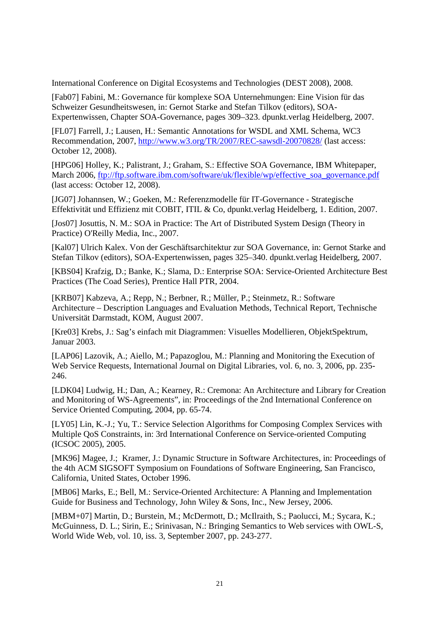International Conference on Digital Ecosystems and Technologies (DEST 2008), 2008.

[Fab07] Fabini, M.: Governance für komplexe SOA Unternehmungen: Eine Vision für das Schweizer Gesundheitswesen, in: Gernot Starke and Stefan Tilkov (editors), SOA-Expertenwissen, Chapter SOA-Governance, pages 309–323. dpunkt.verlag Heidelberg, 2007.

[FL07] Farrell, J.; Lausen, H.: Semantic Annotations for WSDL and XML Schema, WC3 Recommendation, 2007, http://www.w3.org/TR/2007/REC-sawsdl-20070828/ (last access: October 12, 2008).

[HPG06] Holley, K.; Palistrant, J.; Graham, S.: Effective SOA Governance, IBM Whitepaper, March 2006, ftp://ftp.software.ibm.com/software/uk/flexible/wp/effective\_soa\_governance.pdf (last access: October 12, 2008).

[JG07] Johannsen, W.; Goeken, M.: Referenzmodelle für IT-Governance - Strategische Effektivität und Effizienz mit COBIT, ITIL & Co, dpunkt.verlag Heidelberg, 1. Edition, 2007.

[Jos07] Josuttis, N. M.: SOA in Practice: The Art of Distributed System Design (Theory in Practice) O'Reilly Media, Inc., 2007.

[Kal07] Ulrich Kalex. Von der Geschäftsarchitektur zur SOA Governance, in: Gernot Starke and Stefan Tilkov (editors), SOA-Expertenwissen, pages 325–340. dpunkt.verlag Heidelberg, 2007.

[KBS04] Krafzig, D.; Banke, K.; Slama, D.: Enterprise SOA: Service-Oriented Architecture Best Practices (The Coad Series), Prentice Hall PTR, 2004.

[KRB07] Kabzeva, A.; Repp, N.; Berbner, R.; Müller, P.; Steinmetz, R.: Software Architecture – Description Languages and Evaluation Methods, Technical Report, Technische Universität Darmstadt, KOM, August 2007.

[Kre03] Krebs, J.: Sag's einfach mit Diagrammen: Visuelles Modellieren, ObjektSpektrum, Januar 2003.

[LAP06] Lazovik, A.; Aiello, M.; Papazoglou, M.: Planning and Monitoring the Execution of Web Service Requests, International Journal on Digital Libraries, vol. 6, no. 3, 2006, pp. 235- 246.

[LDK04] Ludwig, H.; Dan, A.; Kearney, R.: Cremona: An Architecture and Library for Creation and Monitoring of WS-Agreements", in: Proceedings of the 2nd International Conference on Service Oriented Computing, 2004, pp. 65-74.

[LY05] Lin, K.-J.; Yu, T.: Service Selection Algorithms for Composing Complex Services with Multiple QoS Constraints, in: 3rd International Conference on Service-oriented Computing (ICSOC 2005), 2005.

[MK96] Magee, J.; Kramer, J.: Dynamic Structure in Software Architectures, in: Proceedings of the 4th ACM SIGSOFT Symposium on Foundations of Software Engineering, San Francisco, California, United States, October 1996.

[MB06] Marks, E.; Bell, M.: Service-Oriented Architecture: A Planning and Implementation Guide for Business and Technology, John Wiley & Sons, Inc., New Jersey, 2006.

[MBM+07] Martin, D.; Burstein, M.; McDermott, D.; McIlraith, S.; Paolucci, M.; Sycara, K.; McGuinness, D. L.; Sirin, E.; Srinivasan, N.: Bringing Semantics to Web services with OWL-S, World Wide Web, vol. 10, iss. 3, September 2007, pp. 243-277.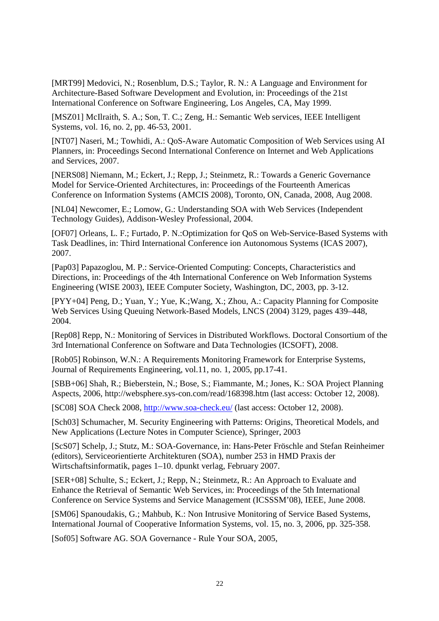[MRT99] Medovici, N.; Rosenblum, D.S.; Taylor, R. N.: A Language and Environment for Architecture-Based Software Development and Evolution, in: Proceedings of the 21st International Conference on Software Engineering, Los Angeles, CA, May 1999.

[MSZ01] McIlraith, S. A.; Son, T. C.; Zeng, H.: Semantic Web services, IEEE Intelligent Systems, vol. 16, no. 2, pp. 46-53, 2001.

[NT07] Naseri, M.; Towhidi, A.: QoS-Aware Automatic Composition of Web Services using AI Planners, in: Proceedings Second International Conference on Internet and Web Applications and Services, 2007.

[NERS08] Niemann, M.; Eckert, J.; Repp, J.; Steinmetz, R.: Towards a Generic Governance Model for Service-Oriented Architectures, in: Proceedings of the Fourteenth Americas Conference on Information Systems (AMCIS 2008), Toronto, ON, Canada, 2008, Aug 2008.

[NL04] Newcomer, E.; Lomow, G.: Understanding SOA with Web Services (Independent Technology Guides), Addison-Wesley Professional, 2004.

[OF07] Orleans, L. F.; Furtado, P. N.:Optimization for QoS on Web-Service-Based Systems with Task Deadlines, in: Third International Conference ion Autonomous Systems (ICAS 2007), 2007.

[Pap03] Papazoglou, M. P.: Service-Oriented Computing: Concepts, Characteristics and Directions, in: Proceedings of the 4th International Conference on Web Information Systems Engineering (WISE 2003), IEEE Computer Society, Washington, DC, 2003, pp. 3-12.

[PYY+04] Peng, D.; Yuan, Y.; Yue, K.;Wang, X.; Zhou, A.: Capacity Planning for Composite Web Services Using Queuing Network-Based Models, LNCS (2004) 3129, pages 439–448, 2004.

[Rep08] Repp, N.: Monitoring of Services in Distributed Workflows. Doctoral Consortium of the 3rd International Conference on Software and Data Technologies (ICSOFT), 2008.

[Rob05] Robinson, W.N.: A Requirements Monitoring Framework for Enterprise Systems, Journal of Requirements Engineering, vol.11, no. 1, 2005, pp.17-41.

[SBB+06] Shah, R.; Bieberstein, N.; Bose, S.; Fiammante, M.; Jones, K.: SOA Project Planning Aspects, 2006, http://websphere.sys-con.com/read/168398.htm (last access: October 12, 2008).

[SC08] SOA Check 2008, http://www.soa-check.eu/ (last access: October 12, 2008).

[Sch03] Schumacher, M. Security Engineering with Patterns: Origins, Theoretical Models, and New Applications (Lecture Notes in Computer Science), Springer, 2003

[ScS07] Schelp, J.; Stutz, M.: SOA-Governance, in: Hans-Peter Fröschle and Stefan Reinheimer (editors), Serviceorientierte Architekturen (SOA), number 253 in HMD Praxis der Wirtschaftsinformatik, pages 1–10. dpunkt verlag, February 2007.

[SER+08] Schulte, S.; Eckert, J.; Repp, N.; Steinmetz, R.: An Approach to Evaluate and Enhance the Retrieval of Semantic Web Services, in: Proceedings of the 5th International Conference on Service Systems and Service Management (ICSSSM'08), IEEE, June 2008.

[SM06] Spanoudakis, G.; Mahbub, K.: Non Intrusive Monitoring of Service Based Systems, International Journal of Cooperative Information Systems, vol. 15, no. 3, 2006, pp. 325-358.

[Sof05] Software AG. SOA Governance - Rule Your SOA, 2005,